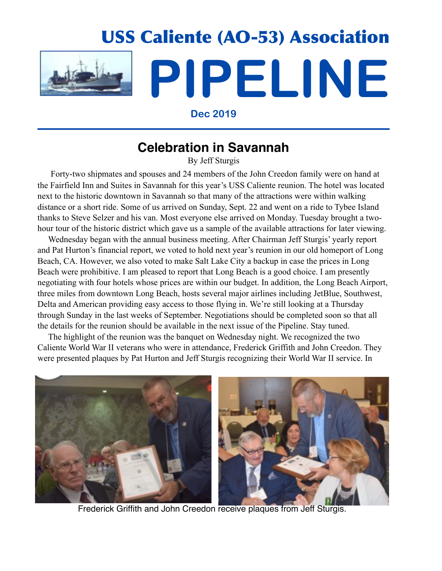

**Dec 2019**

# **Celebration in Savannah**

By Jeff Sturgis

 Forty-two shipmates and spouses and 24 members of the John Creedon family were on hand at the Fairfield Inn and Suites in Savannah for this year's USS Caliente reunion. The hotel was located next to the historic downtown in Savannah so that many of the attractions were within walking distance or a short ride. Some of us arrived on Sunday, Sept. 22 and went on a ride to Tybee Island thanks to Steve Selzer and his van. Most everyone else arrived on Monday. Tuesday brought a twohour tour of the historic district which gave us a sample of the available attractions for later viewing.

 Wednesday began with the annual business meeting. After Chairman Jeff Sturgis' yearly report and Pat Hurton's financial report, we voted to hold next year's reunion in our old homeport of Long Beach, CA. However, we also voted to make Salt Lake City a backup in case the prices in Long Beach were prohibitive. I am pleased to report that Long Beach is a good choice. I am presently negotiating with four hotels whose prices are within our budget. In addition, the Long Beach Airport, three miles from downtown Long Beach, hosts several major airlines including JetBlue, Southwest, Delta and American providing easy access to those flying in. We're still looking at a Thursday through Sunday in the last weeks of September. Negotiations should be completed soon so that all the details for the reunion should be available in the next issue of the Pipeline. Stay tuned.

 The highlight of the reunion was the banquet on Wednesday night. We recognized the two Caliente World War II veterans who were in attendance, Frederick Griffith and John Creedon. They were presented plaques by Pat Hurton and Jeff Sturgis recognizing their World War II service. In



Frederick Griffith and John Creedon receive plaques from Jeff Sturgis.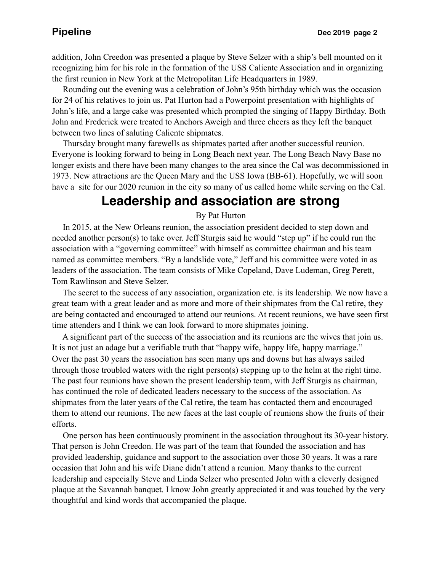addition, John Creedon was presented a plaque by Steve Selzer with a ship's bell mounted on it recognizing him for his role in the formation of the USS Caliente Association and in organizing the first reunion in New York at the Metropolitan Life Headquarters in 1989.

 Rounding out the evening was a celebration of John's 95th birthday which was the occasion for 24 of his relatives to join us. Pat Hurton had a Powerpoint presentation with highlights of John's life, and a large cake was presented which prompted the singing of Happy Birthday. Both John and Frederick were treated to Anchors Aweigh and three cheers as they left the banquet between two lines of saluting Caliente shipmates.

 Thursday brought many farewells as shipmates parted after another successful reunion. Everyone is looking forward to being in Long Beach next year. The Long Beach Navy Base no longer exists and there have been many changes to the area since the Cal was decommissioned in 1973. New attractions are the Queen Mary and the USS Iowa (BB-61). Hopefully, we will soon have a site for our 2020 reunion in the city so many of us called home while serving on the Cal.

# **Leadership and association are strong**

### By Pat Hurton

 In 2015, at the New Orleans reunion, the association president decided to step down and needed another person(s) to take over. Jeff Sturgis said he would "step up" if he could run the association with a "governing committee" with himself as committee chairman and his team named as committee members. "By a landslide vote," Jeff and his committee were voted in as leaders of the association. The team consists of Mike Copeland, Dave Ludeman, Greg Perett, Tom Rawlinson and Steve Selzer.

 The secret to the success of any association, organization etc. is its leadership. We now have a great team with a great leader and as more and more of their shipmates from the Cal retire, they are being contacted and encouraged to attend our reunions. At recent reunions, we have seen first time attenders and I think we can look forward to more shipmates joining.

 A significant part of the success of the association and its reunions are the wives that join us. It is not just an adage but a verifiable truth that "happy wife, happy life, happy marriage." Over the past 30 years the association has seen many ups and downs but has always sailed through those troubled waters with the right person(s) stepping up to the helm at the right time. The past four reunions have shown the present leadership team, with Jeff Sturgis as chairman, has continued the role of dedicated leaders necessary to the success of the association. As shipmates from the later years of the Cal retire, the team has contacted them and encouraged them to attend our reunions. The new faces at the last couple of reunions show the fruits of their efforts.

 One person has been continuously prominent in the association throughout its 30-year history. That person is John Creedon. He was part of the team that founded the association and has provided leadership, guidance and support to the association over those 30 years. It was a rare occasion that John and his wife Diane didn't attend a reunion. Many thanks to the current leadership and especially Steve and Linda Selzer who presented John with a cleverly designed plaque at the Savannah banquet. I know John greatly appreciated it and was touched by the very thoughtful and kind words that accompanied the plaque.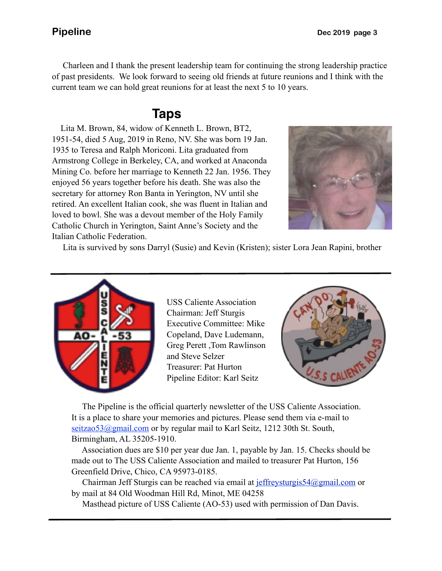Charleen and I thank the present leadership team for continuing the strong leadership practice of past presidents. We look forward to seeing old friends at future reunions and I think with the current team we can hold great reunions for at least the next 5 to 10 years.

### **Taps**

 Lita M. Brown, 84, widow of Kenneth L. Brown, BT2, 1951-54, died 5 Aug, 2019 in Reno, NV. She was born 19 Jan. 1935 to Teresa and Ralph Moriconi. Lita graduated from Armstrong College in Berkeley, CA, and worked at Anaconda Mining Co. before her marriage to Kenneth 22 Jan. 1956. They enjoyed 56 years together before his death. She was also the secretary for attorney Ron Banta in Yerington, NV until she retired. An excellent Italian cook, she was fluent in Italian and loved to bowl. She was a devout member of the Holy Family Catholic Church in Yerington, Saint Anne's Society and the Italian Catholic Federation.



Lita is survived by sons Darryl (Susie) and Kevin (Kristen); sister Lora Jean Rapini, brother



USS Caliente Association Chairman: Jeff Sturgis Executive Committee: Mike Copeland, Dave Ludemann, Greg Perett ,Tom Rawlinson and Steve Selzer Treasurer: Pat Hurton Pipeline Editor: Karl Seitz



 The Pipeline is the official quarterly newsletter of the USS Caliente Association. It is a place to share your memories and pictures. Please send them via e-mail to seitzao53@gmail.com or by regular mail to Karl Seitz, 1212 30th St. South, Birmingham, AL 35205-1910.

 Association dues are \$10 per year due Jan. 1, payable by Jan. 15. Checks should be made out to The USS Caliente Association and mailed to treasurer Pat Hurton, 156 Greenfield Drive, Chico, CA 95973-0185.

 Chairman Jeff Sturgis can be reached via email at [jeffreysturgis54@gmail.com](mailto:jeffreysturgis54@gmail.com) or by mail at 84 Old Woodman Hill Rd, Minot, ME 04258

Masthead picture of USS Caliente (AO-53) used with permission of Dan Davis.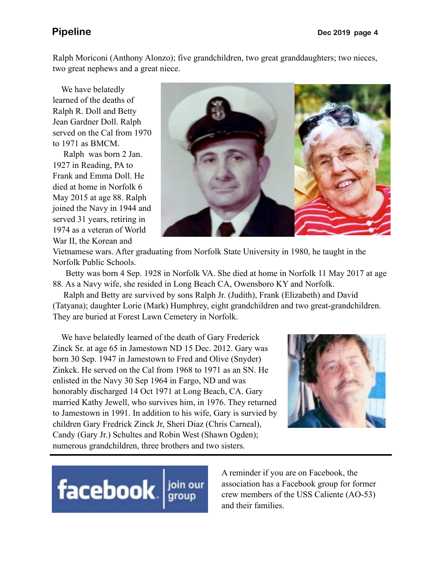Ralph Moriconi (Anthony Alonzo); five grandchildren, two great granddaughters; two nieces, two great nephews and a great niece.

 We have belatedly learned of the deaths of Ralph R. Doll and Betty Jean Gardner Doll. Ralph served on the Cal from 1970 to 1971 as BMCM.

 Ralph was born 2 Jan. 1927 in Reading, PA to Frank and Emma Doll. He died at home in Norfolk 6 May 2015 at age 88. Ralph joined the Navy in 1944 and served 31 years, retiring in 1974 as a veteran of World War II, the Korean and



Vietnamese wars. After graduating from Norfolk State University in 1980, he taught in the Norfolk Public Schools.

 Betty was born 4 Sep. 1928 in Norfolk VA. She died at home in Norfolk 11 May 2017 at age 88. As a Navy wife, she resided in Long Beach CA, Owensboro KY and Norfolk.

 Ralph and Betty are survived by sons Ralph Jr. (Judith), Frank (Elizabeth) and David (Tatyana); daughter Lorie (Mark) Humphrey, eight grandchildren and two great-grandchildren. They are buried at Forest Lawn Cemetery in Norfolk.

 We have belatedly learned of the death of Gary Frederick Zinck Sr. at age 65 in Jamestown ND 15 Dec. 2012. Gary was born 30 Sep. 1947 in Jamestown to Fred and Olive (Snyder) Zinkck. He served on the Cal from 1968 to 1971 as an SN. He enlisted in the Navy 30 Sep 1964 in Fargo, ND and was honorably discharged 14 Oct 1971 at Long Beach, CA. Gary married Kathy Jewell, who survives him, in 1976. They returned to Jamestown in 1991. In addition to his wife, Gary is survied by children Gary Fredrick Zinck Jr, Sheri Diaz (Chris Carneal), Candy (Gary Jr.) Schultes and Robin West (Shawn Ogden); numerous grandchildren, three brothers and two sisters.



# facebook signal point

A reminder if you are on Facebook, the association has a Facebook group for former crew members of the USS Caliente (AO-53) and their families.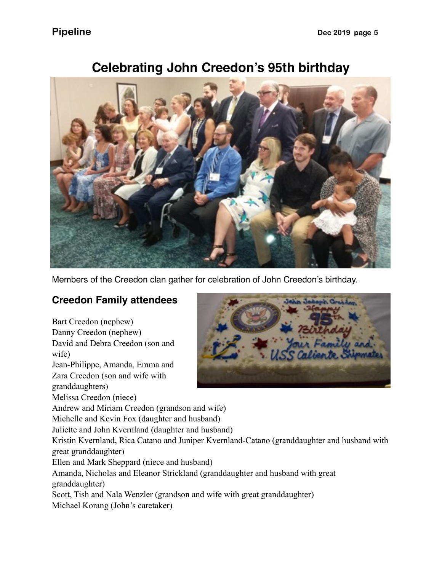

## **Celebrating John Creedon's 95th birthday**

Members of the Creedon clan gather for celebration of John Creedon's birthday.

### **Creedon Family attendees**

Bart Creedon (nephew) Danny Creedon (nephew) David and Debra Creedon (son and wife) Jean-Philippe, Amanda, Emma and Zara Creedon (son and wife with granddaughters) Melissa Creedon (niece) Andrew and Miriam Creedon (grandson and wife) Michelle and Kevin Fox (daughter and husband) Juliette and John Kvernland (daughter and husband) Kristin Kvernland, Rica Catano and Juniper Kvernland-Catano (granddaughter and husband with great granddaughter) Ellen and Mark Sheppard (niece and husband) Amanda, Nicholas and Eleanor Strickland (granddaughter and husband with great granddaughter) Scott, Tish and Nala Wenzler (grandson and wife with great granddaughter) Michael Korang (John's caretaker)

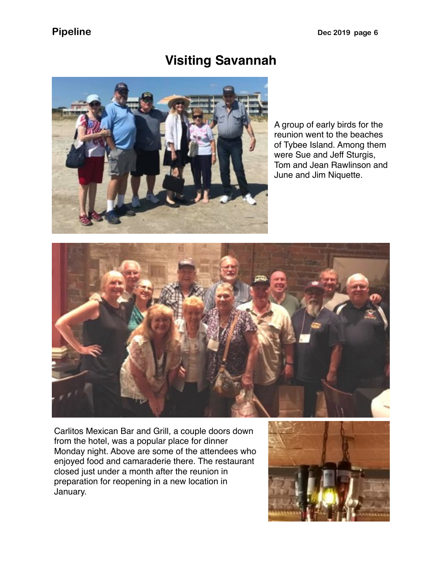# **Visiting Savannah**



A group of early birds for the reunion went to the beaches of Tybee Island. Among them were Sue and Jeff Sturgis, Tom and Jean Rawlinson and June and Jim Niquette.



Carlitos Mexican Bar and Grill, a couple doors down from the hotel, was a popular place for dinner Monday night. Above are some of the attendees who enjoyed food and camaraderie there. The restaurant closed just under a month after the reunion in preparation for reopening in a new location in January.

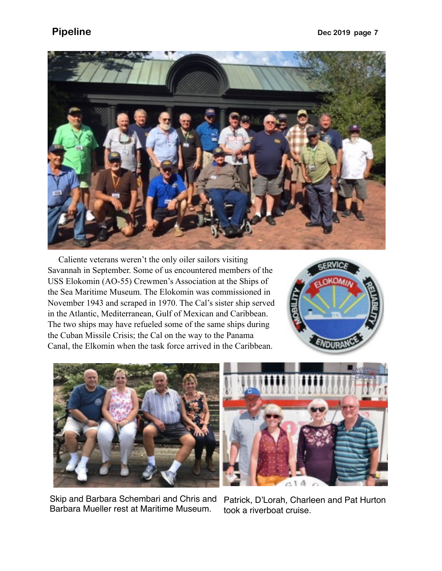

 Caliente veterans weren't the only oiler sailors visiting Savannah in September. Some of us encountered members of the USS Elokomin (AO-55) Crewmen's Association at the Ships of the Sea Maritime Museum. The Elokomin was commissioned in November 1943 and scraped in 1970. The Cal's sister ship served in the Atlantic, Mediterranean, Gulf of Mexican and Caribbean. The two ships may have refueled some of the same ships during the Cuban Missile Crisis; the Cal on the way to the Panama Canal, the Elkomin when the task force arrived in the Caribbean.





Skip and Barbara Schembari and Chris and Barbara Mueller rest at Maritime Museum.



Patrick, D'Lorah, Charleen and Pat Hurton took a riverboat cruise.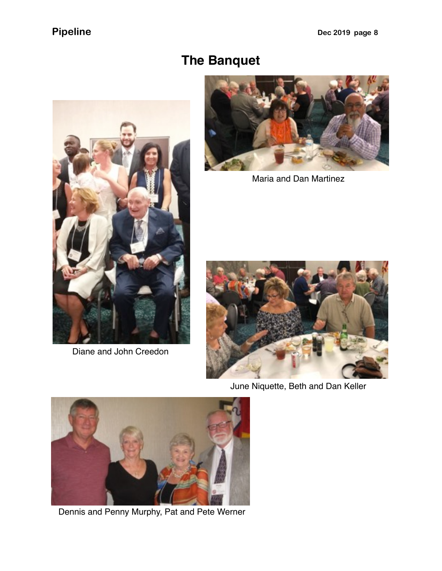# **The Banquet**



Diane and John Creedon



Maria and Dan Martinez



June Niquette, Beth and Dan Keller



Dennis and Penny Murphy, Pat and Pete Werner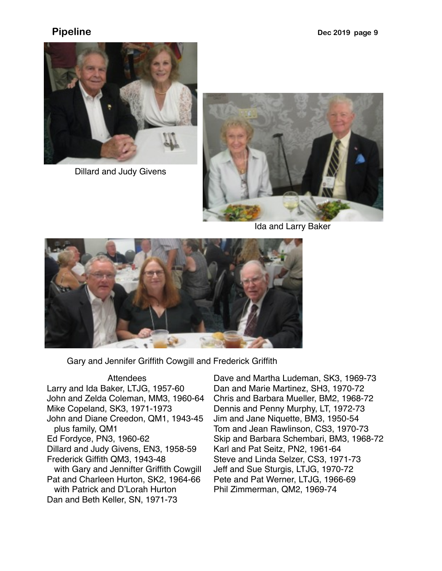

Dillard and Judy Givens



Ida and Larry Baker



Gary and Jennifer Griffith Cowgill and Frederick Griffith

### **Attendees**

Larry and Ida Baker, LTJG, 1957-60 John and Zelda Coleman, MM3, 1960-64 Mike Copeland, SK3, 1971-1973 John and Diane Creedon, QM1, 1943-45 plus family, QM1 Ed Fordyce, PN3, 1960-62 Dillard and Judy Givens, EN3, 1958-59 Frederick Giffith QM3, 1943-48 with Gary and Jennifter Griffith Cowgill Pat and Charleen Hurton, SK2, 1964-66 with Patrick and D'Lorah Hurton Dan and Beth Keller, SN, 1971-73

Dave and Martha Ludeman, SK3, 1969-73 Dan and Marie Martinez, SH3, 1970-72 Chris and Barbara Mueller, BM2, 1968-72 Dennis and Penny Murphy, LT, 1972-73 Jim and Jane Niquette, BM3, 1950-54 Tom and Jean Rawlinson, CS3, 1970-73 Skip and Barbara Schembari, BM3, 1968-72 Karl and Pat Seitz, PN2, 1961-64 Steve and Linda Selzer, CS3, 1971-73 Jeff and Sue Sturgis, LTJG, 1970-72 Pete and Pat Werner, LTJG, 1966-69 Phil Zimmerman, QM2, 1969-74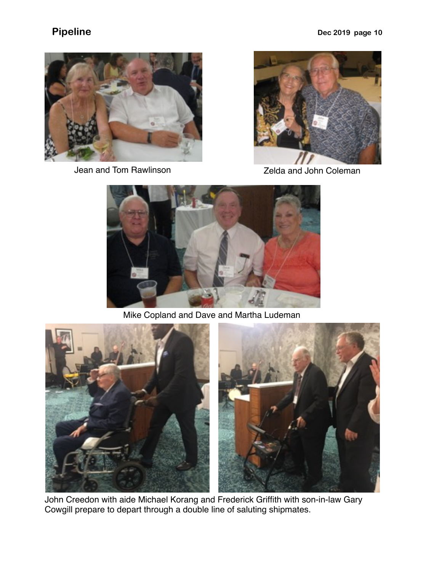

Jean and Tom Rawlinson **Coleman** Zelda and John Coleman





Mike Copland and Dave and Martha Ludeman



John Creedon with aide Michael Korang and Frederick Griffith with son-in-law Gary Cowgill prepare to depart through a double line of saluting shipmates.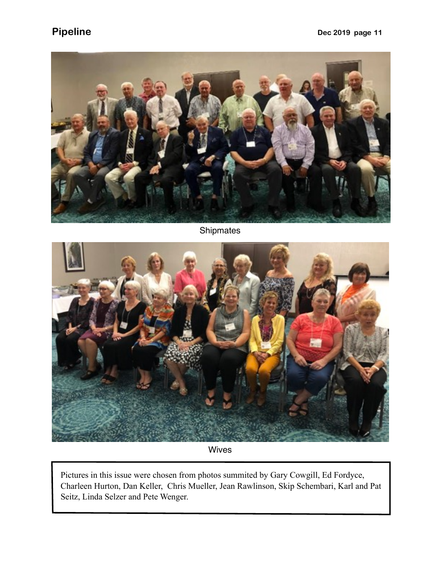

Shipmates



Wives

Pictures in this issue were chosen from photos summited by Gary Cowgill, Ed Fordyce, Charleen Hurton, Dan Keller, Chris Mueller, Jean Rawlinson, Skip Schembari, Karl and Pat Seitz, Linda Selzer and Pete Wenger.